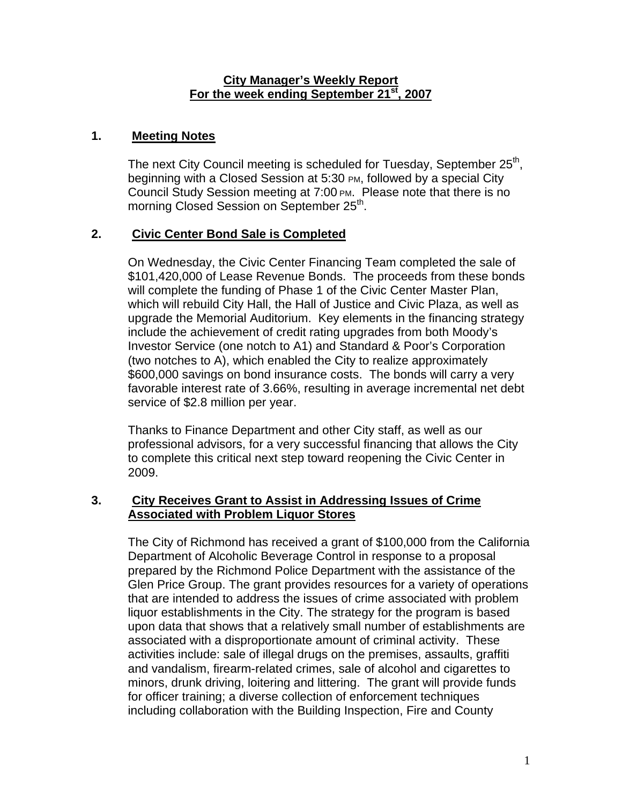#### **City Manager's Weekly Report For the week ending September 21st, 2007**

## **1. Meeting Notes**

The next City Council meeting is scheduled for Tuesday, September 25<sup>th</sup>, beginning with a Closed Session at 5:30 PM, followed by a special City Council Study Session meeting at 7:00 PM. Please note that there is no morning Closed Session on September 25<sup>th</sup>.

## **2. Civic Center Bond Sale is Completed**

On Wednesday, the Civic Center Financing Team completed the sale of \$101,420,000 of Lease Revenue Bonds. The proceeds from these bonds will complete the funding of Phase 1 of the Civic Center Master Plan, which will rebuild City Hall, the Hall of Justice and Civic Plaza, as well as upgrade the Memorial Auditorium. Key elements in the financing strategy include the achievement of credit rating upgrades from both Moody's Investor Service (one notch to A1) and Standard & Poor's Corporation (two notches to A), which enabled the City to realize approximately \$600,000 savings on bond insurance costs. The bonds will carry a very favorable interest rate of 3.66%, resulting in average incremental net debt service of \$2.8 million per year.

Thanks to Finance Department and other City staff, as well as our professional advisors, for a very successful financing that allows the City to complete this critical next step toward reopening the Civic Center in 2009.

### **3. City Receives Grant to Assist in Addressing Issues of Crime Associated with Problem Liquor Stores**

The City of Richmond has received a grant of \$100,000 from the California Department of Alcoholic Beverage Control in response to a proposal prepared by the Richmond Police Department with the assistance of the Glen Price Group. The grant provides resources for a variety of operations that are intended to address the issues of crime associated with problem liquor establishments in the City. The strategy for the program is based upon data that shows that a relatively small number of establishments are associated with a disproportionate amount of criminal activity. These activities include: sale of illegal drugs on the premises, assaults, graffiti and vandalism, firearm-related crimes, sale of alcohol and cigarettes to minors, drunk driving, loitering and littering. The grant will provide funds for officer training; a diverse collection of enforcement techniques including collaboration with the Building Inspection, Fire and County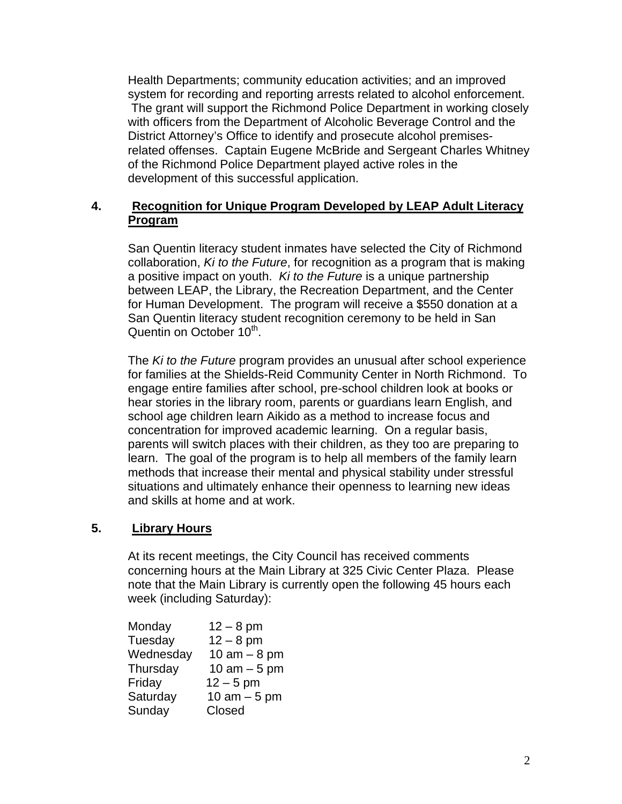Health Departments; community education activities; and an improved system for recording and reporting arrests related to alcohol enforcement. The grant will support the Richmond Police Department in working closely with officers from the Department of Alcoholic Beverage Control and the District Attorney's Office to identify and prosecute alcohol premisesrelated offenses. Captain Eugene McBride and Sergeant Charles Whitney of the Richmond Police Department played active roles in the development of this successful application.

## **4. Recognition for Unique Program Developed by LEAP Adult Literacy Program**

San Quentin literacy student inmates have selected the City of Richmond collaboration, *Ki to the Future*, for recognition as a program that is making a positive impact on youth. *Ki to the Future* is a unique partnership between LEAP, the Library, the Recreation Department, and the Center for Human Development. The program will receive a \$550 donation at a San Quentin literacy student recognition ceremony to be held in San Quentin on October 10<sup>th</sup>.

The *Ki to the Future* program provides an unusual after school experience for families at the Shields-Reid Community Center in North Richmond. To engage entire families after school, pre-school children look at books or hear stories in the library room, parents or guardians learn English, and school age children learn Aikido as a method to increase focus and concentration for improved academic learning. On a regular basis, parents will switch places with their children, as they too are preparing to learn. The goal of the program is to help all members of the family learn methods that increase their mental and physical stability under stressful situations and ultimately enhance their openness to learning new ideas and skills at home and at work.

## **5. Library Hours**

At its recent meetings, the City Council has received comments concerning hours at the Main Library at 325 Civic Center Plaza. Please note that the Main Library is currently open the following 45 hours each week (including Saturday):

| Monday    | $12 - 8$ pm   |
|-----------|---------------|
| Tuesday   | $12 - 8$ pm   |
| Wednesday | 10 am $-8$ pm |
| Thursday  | 10 am $-5$ pm |
| Friday    | $12 - 5$ pm   |
| Saturday  | 10 am $-5$ pm |
| Sunday    | Closed        |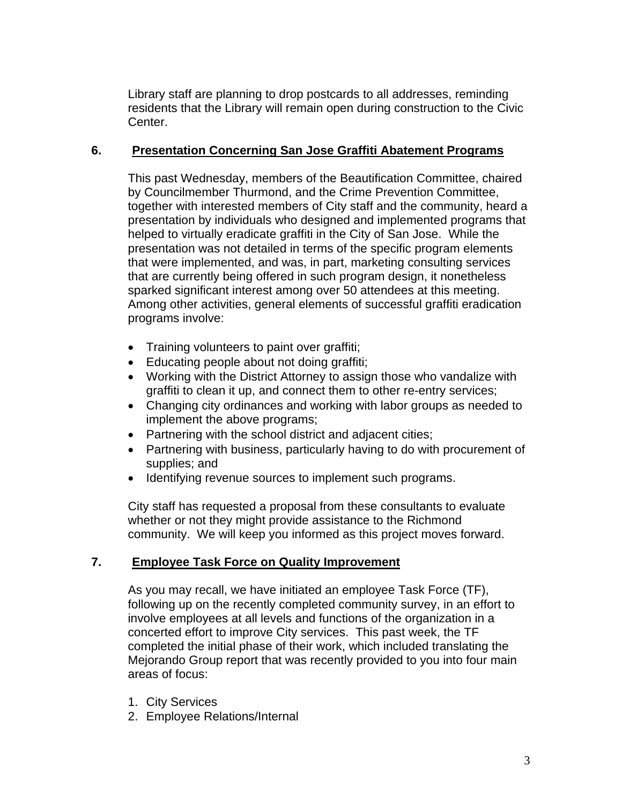Library staff are planning to drop postcards to all addresses, reminding residents that the Library will remain open during construction to the Civic Center.

## **6. Presentation Concerning San Jose Graffiti Abatement Programs**

This past Wednesday, members of the Beautification Committee, chaired by Councilmember Thurmond, and the Crime Prevention Committee, together with interested members of City staff and the community, heard a presentation by individuals who designed and implemented programs that helped to virtually eradicate graffiti in the City of San Jose. While the presentation was not detailed in terms of the specific program elements that were implemented, and was, in part, marketing consulting services that are currently being offered in such program design, it nonetheless sparked significant interest among over 50 attendees at this meeting. Among other activities, general elements of successful graffiti eradication programs involve:

- Training volunteers to paint over graffiti;
- Educating people about not doing graffiti;
- Working with the District Attorney to assign those who vandalize with graffiti to clean it up, and connect them to other re-entry services;
- Changing city ordinances and working with labor groups as needed to implement the above programs;
- Partnering with the school district and adjacent cities;
- Partnering with business, particularly having to do with procurement of supplies; and
- Identifying revenue sources to implement such programs.

City staff has requested a proposal from these consultants to evaluate whether or not they might provide assistance to the Richmond community. We will keep you informed as this project moves forward.

## **7. Employee Task Force on Quality Improvement**

As you may recall, we have initiated an employee Task Force (TF), following up on the recently completed community survey, in an effort to involve employees at all levels and functions of the organization in a concerted effort to improve City services. This past week, the TF completed the initial phase of their work, which included translating the Mejorando Group report that was recently provided to you into four main areas of focus:

- 1. City Services
- 2. Employee Relations/Internal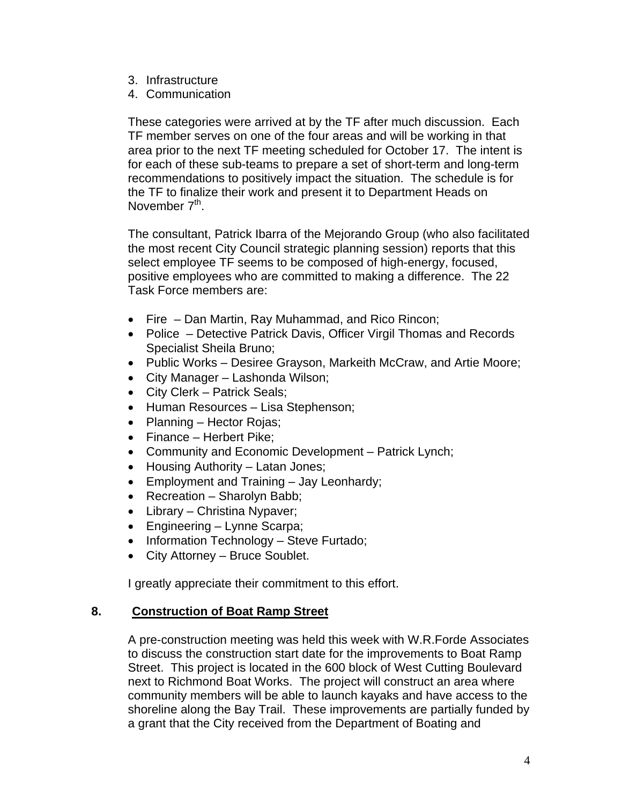- 3. Infrastructure
- 4. Communication

These categories were arrived at by the TF after much discussion. Each TF member serves on one of the four areas and will be working in that area prior to the next TF meeting scheduled for October 17. The intent is for each of these sub-teams to prepare a set of short-term and long-term recommendations to positively impact the situation. The schedule is for the TF to finalize their work and present it to Department Heads on November 7<sup>th</sup>.

The consultant, Patrick Ibarra of the Mejorando Group (who also facilitated the most recent City Council strategic planning session) reports that this select employee TF seems to be composed of high-energy, focused, positive employees who are committed to making a difference. The 22 Task Force members are:

- Fire Dan Martin, Ray Muhammad, and Rico Rincon;
- Police Detective Patrick Davis, Officer Virgil Thomas and Records Specialist Sheila Bruno;
- Public Works Desiree Grayson, Markeith McCraw, and Artie Moore;
- City Manager Lashonda Wilson;
- City Clerk Patrick Seals;
- Human Resources Lisa Stephenson;
- Planning Hector Rojas;
- Finance Herbert Pike;
- Community and Economic Development Patrick Lynch;
- Housing Authority Latan Jones;
- Employment and Training Jay Leonhardy;
- Recreation Sharolyn Babb;
- Library Christina Nypaver;
- Engineering Lynne Scarpa;
- Information Technology Steve Furtado;
- City Attorney Bruce Soublet.

I greatly appreciate their commitment to this effort.

#### **8. Construction of Boat Ramp Street**

A pre-construction meeting was held this week with W.R.Forde Associates to discuss the construction start date for the improvements to Boat Ramp Street. This project is located in the 600 block of West Cutting Boulevard next to Richmond Boat Works. The project will construct an area where community members will be able to launch kayaks and have access to the shoreline along the Bay Trail. These improvements are partially funded by a grant that the City received from the Department of Boating and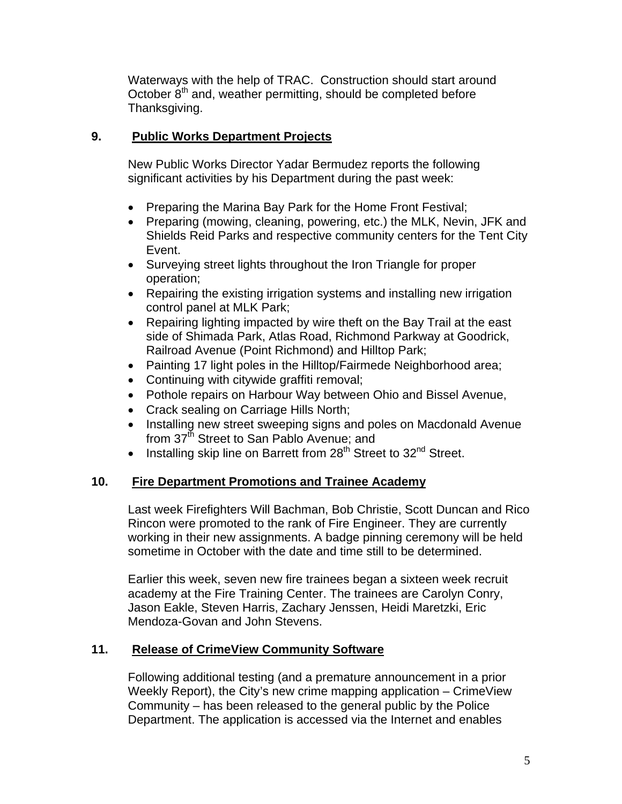Waterways with the help of TRAC. Construction should start around October 8<sup>th</sup> and, weather permitting, should be completed before Thanksgiving.

## **9. Public Works Department Projects**

New Public Works Director Yadar Bermudez reports the following significant activities by his Department during the past week:

- Preparing the Marina Bay Park for the Home Front Festival;
- Preparing (mowing, cleaning, powering, etc.) the MLK, Nevin, JFK and Shields Reid Parks and respective community centers for the Tent City Event.
- Surveying street lights throughout the Iron Triangle for proper operation;
- Repairing the existing irrigation systems and installing new irrigation control panel at MLK Park;
- Repairing lighting impacted by wire theft on the Bay Trail at the east side of Shimada Park, Atlas Road, Richmond Parkway at Goodrick, Railroad Avenue (Point Richmond) and Hilltop Park;
- Painting 17 light poles in the Hilltop/Fairmede Neighborhood area;
- Continuing with citywide graffiti removal;
- Pothole repairs on Harbour Way between Ohio and Bissel Avenue,
- Crack sealing on Carriage Hills North;
- Installing new street sweeping signs and poles on Macdonald Avenue from 37<sup>th</sup> Street to San Pablo Avenue; and
- Installing skip line on Barrett from  $28<sup>th</sup>$  Street to  $32<sup>nd</sup>$  Street.

# **10. Fire Department Promotions and Trainee Academy**

Last week Firefighters Will Bachman, Bob Christie, Scott Duncan and Rico Rincon were promoted to the rank of Fire Engineer. They are currently working in their new assignments. A badge pinning ceremony will be held sometime in October with the date and time still to be determined.

Earlier this week, seven new fire trainees began a sixteen week recruit academy at the Fire Training Center. The trainees are Carolyn Conry, Jason Eakle, Steven Harris, Zachary Jenssen, Heidi Maretzki, Eric Mendoza-Govan and John Stevens.

# **11. Release of CrimeView Community Software**

Following additional testing (and a premature announcement in a prior Weekly Report), the City's new crime mapping application – CrimeView Community – has been released to the general public by the Police Department. The application is accessed via the Internet and enables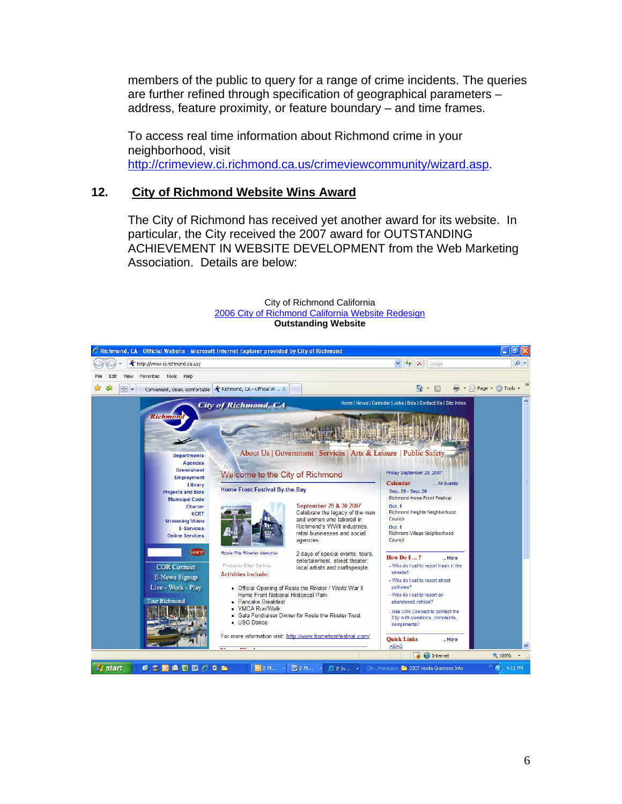members of the public to query for a range of crime incidents. The queries are further refined through specification of geographical parameters – address, feature proximity, or feature boundary – and time frames.

To access real time information about Richmond crime in your neighborhood, visit http://crimeview.ci.richmond.ca.us/crimeviewcommunity/wizard.asp.

#### **12. City of Richmond Website Wins Award**

The City of Richmond has received yet another award for its website. In particular, the City received the 2007 award for OUTSTANDING ACHIEVEMENT IN WEBSITE DEVELOPMENT from the Web Marketing Association. Details are below:



City of Richmond California 2006 City of Richmond California Website Redesign